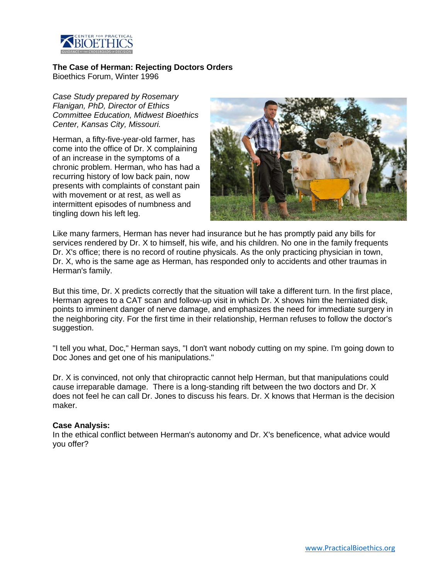

## **The Case of Herman: Rejecting Doctors Orders**

Bioethics Forum, Winter 1996

*Case Study prepared by Rosemary Flanigan, PhD, Director of Ethics Committee Education, Midwest Bioethics Center, Kansas City, Missouri.*

Herman, a fifty-five-year-old farmer, has come into the office of Dr. X complaining of an increase in the symptoms of a chronic problem. Herman, who has had a recurring history of low back pain, now presents with complaints of constant pain with movement or at rest, as well as intermittent episodes of numbness and tingling down his left leg.



Like many farmers, Herman has never had insurance but he has promptly paid any bills for services rendered by Dr. X to himself, his wife, and his children. No one in the family frequents Dr. X's office; there is no record of routine physicals. As the only practicing physician in town, Dr. X, who is the same age as Herman, has responded only to accidents and other traumas in Herman's family.

But this time, Dr. X predicts correctly that the situation will take a different turn. In the first place, Herman agrees to a CAT scan and follow-up visit in which Dr. X shows him the herniated disk, points to imminent danger of nerve damage, and emphasizes the need for immediate surgery in the neighboring city. For the first time in their relationship, Herman refuses to follow the doctor's suggestion.

"I tell you what, Doc," Herman says, "I don't want nobody cutting on my spine. I'm going down to Doc Jones and get one of his manipulations."

Dr. X is convinced, not only that chiropractic cannot help Herman, but that manipulations could cause irreparable damage. There is a long-standing rift between the two doctors and Dr. X does not feel he can call Dr. Jones to discuss his fears. Dr. X knows that Herman is the decision maker.

## **Case Analysis:**

In the ethical conflict between Herman's autonomy and Dr. X's beneficence, what advice would you offer?